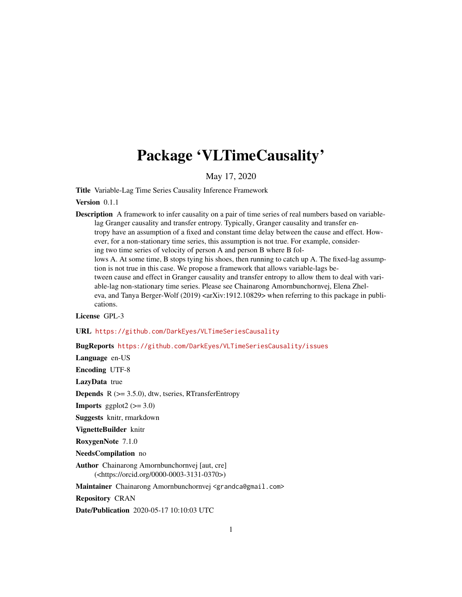# Package 'VLTimeCausality'

May 17, 2020

Title Variable-Lag Time Series Causality Inference Framework

Version 0.1.1

Description A framework to infer causality on a pair of time series of real numbers based on variablelag Granger causality and transfer entropy. Typically, Granger causality and transfer entropy have an assumption of a fixed and constant time delay between the cause and effect. However, for a non-stationary time series, this assumption is not true. For example, considering two time series of velocity of person A and person B where B follows A. At some time, B stops tying his shoes, then running to catch up A. The fixed-lag assumption is not true in this case. We propose a framework that allows variable-lags between cause and effect in Granger causality and transfer entropy to allow them to deal with variable-lag non-stationary time series. Please see Chainarong Amornbunchornvej, Elena Zheleva, and Tanya Berger-Wolf  $(2019)$  <arXiv:1912.10829> when referring to this package in publications.

License GPL-3

URL <https://github.com/DarkEyes/VLTimeSeriesCausality>

BugReports <https://github.com/DarkEyes/VLTimeSeriesCausality/issues>

Language en-US

Encoding UTF-8

LazyData true

**Depends**  $R$  ( $>= 3.5.0$ ), dtw, tseries, RTransferEntropy

**Imports** ggplot2  $(>= 3.0)$ 

Suggests knitr, rmarkdown

VignetteBuilder knitr

RoxygenNote 7.1.0

NeedsCompilation no

Author Chainarong Amornbunchornvej [aut, cre] (<https://orcid.org/0000-0003-3131-0370>)

Maintainer Chainarong Amornbunchornvej <grandca@gmail.com>

Repository CRAN

Date/Publication 2020-05-17 10:10:03 UTC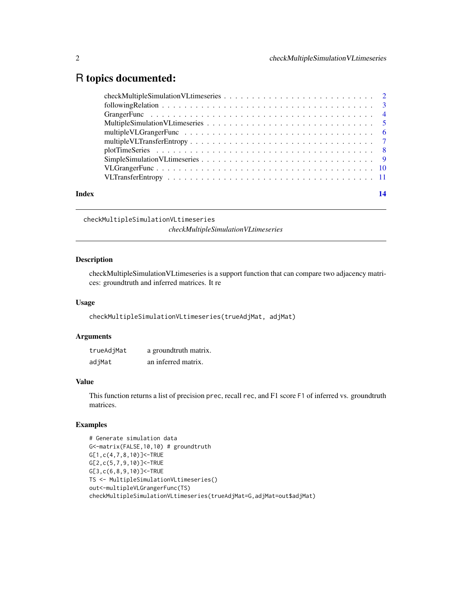### <span id="page-1-0"></span>R topics documented:

checkMultipleSimulationVLtimeseries

*checkMultipleSimulationVLtimeseries*

#### Description

checkMultipleSimulationVLtimeseries is a support function that can compare two adjacency matrices: groundtruth and inferred matrices. It re

#### Usage

checkMultipleSimulationVLtimeseries(trueAdjMat, adjMat)

#### Arguments

| trueAdjMat | a groundtruth matrix. |
|------------|-----------------------|
| adjMat     | an inferred matrix.   |

#### Value

This function returns a list of precision prec, recall rec, and F1 score F1 of inferred vs. groundtruth matrices.

#### Examples

# Generate simulation data G<-matrix(FALSE,10,10) # groundtruth G[1,c(4,7,8,10)]<-TRUE G[2,c(5,7,9,10)]<-TRUE G[3,c(6,8,9,10)]<-TRUE TS <- MultipleSimulationVLtimeseries() out<-multipleVLGrangerFunc(TS) checkMultipleSimulationVLtimeseries(trueAdjMat=G,adjMat=out\$adjMat)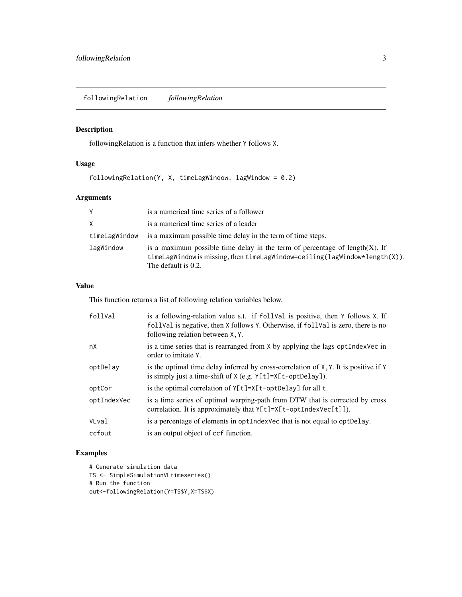<span id="page-2-0"></span>followingRelation *followingRelation*

#### Description

followingRelation is a function that infers whether Y follows X.

#### Usage

followingRelation(Y, X, timeLagWindow, lagWindow = 0.2)

#### Arguments

| Y             | is a numerical time series of a follower                                                                                                                                                 |
|---------------|------------------------------------------------------------------------------------------------------------------------------------------------------------------------------------------|
| X             | is a numerical time series of a leader                                                                                                                                                   |
| timeLagWindow | is a maximum possible time delay in the term of time steps.                                                                                                                              |
| lagWindow     | is a maximum possible time delay in the term of percentage of length $(X)$ . If<br>timeLagWindow is missing, then timeLagWindow=ceiling(lagWindow*length $(X)$ ).<br>The default is 0.2. |

#### Value

This function returns a list of following relation variables below.

| follVal     | is a following-relation value s.t. if foll Val is positive, then Y follows X. If<br>foll Val is negative, then X follows Y. Otherwise, if foll Val is zero, there is no<br>following relation between X, Y. |
|-------------|-------------------------------------------------------------------------------------------------------------------------------------------------------------------------------------------------------------|
| nX          | is a time series that is rearranged from X by applying the lags optindex Vec in<br>order to imitate Y.                                                                                                      |
| optDelay    | is the optimal time delay inferred by cross-correlation of $X, Y$ . It is positive if Y<br>is simply just a time-shift of $X$ (e.g. $Y[t]=X[t-optDelay]$ ).                                                 |
| optCor      | is the optimal correlation of Y[t]=X[t-optDelay] for all t.                                                                                                                                                 |
| optIndexVec | is a time series of optimal warping-path from DTW that is corrected by cross<br>correlation. It is approximately that $Y[t]=X[t-optIndexVec[t]]$ .                                                          |
| VLval       | is a percentage of elements in optimization that is not equal to optimize.                                                                                                                                  |
| ccfout      | is an output object of ccf function.                                                                                                                                                                        |

#### Examples

```
# Generate simulation data
TS <- SimpleSimulationVLtimeseries()
# Run the function
out<-followingRelation(Y=TS$Y,X=TS$X)
```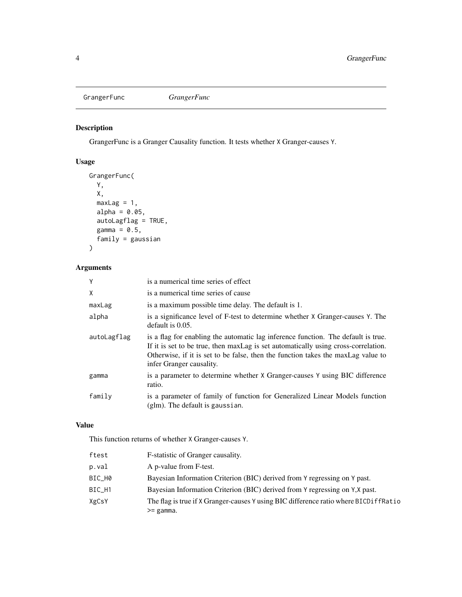<span id="page-3-0"></span>GrangerFunc *GrangerFunc*

#### Description

GrangerFunc is a Granger Causality function. It tests whether X Granger-causes Y.

#### Usage

```
GrangerFunc(
 Y,
 X,
 maxLag = 1,
  alpha = 0.05,
  autoLagflag = TRUE,
  gamma = 0.5,
  family = gaussian
)
```
## Arguments

| Y           | is a numerical time series of effect                                                                                                                                                                                                                                                    |
|-------------|-----------------------------------------------------------------------------------------------------------------------------------------------------------------------------------------------------------------------------------------------------------------------------------------|
| X           | is a numerical time series of cause                                                                                                                                                                                                                                                     |
| maxLag      | is a maximum possible time delay. The default is 1.                                                                                                                                                                                                                                     |
| alpha       | is a significance level of F-test to determine whether X Granger-causes Y. The<br>default is $0.05$ .                                                                                                                                                                                   |
| autoLagflag | is a flag for enabling the automatic lag inference function. The default is true.<br>If it is set to be true, then maxLag is set automatically using cross-correlation.<br>Otherwise, if it is set to be false, then the function takes the maxLag value to<br>infer Granger causality. |
| gamma       | is a parameter to determine whether X Granger-causes Y using BIC difference<br>ratio.                                                                                                                                                                                                   |
| family      | is a parameter of family of function for Generalized Linear Models function<br>(glm). The default is gaussian.                                                                                                                                                                          |

#### Value

This function returns of whether X Granger-causes Y.

| ftest  | F-statistic of Granger causality.                                                       |
|--------|-----------------------------------------------------------------------------------------|
| p.val  | A p-value from F-test.                                                                  |
| BIC H0 | Bayesian Information Criterion (BIC) derived from Y regressing on Y past.               |
| BIC_H1 | Bayesian Information Criterion (BIC) derived from Y regressing on Y.X past.             |
| XgCsY  | The flag is true if X Granger-causes Y using BIC difference ratio where BICD if fractio |
|        | $>=$ gamma.                                                                             |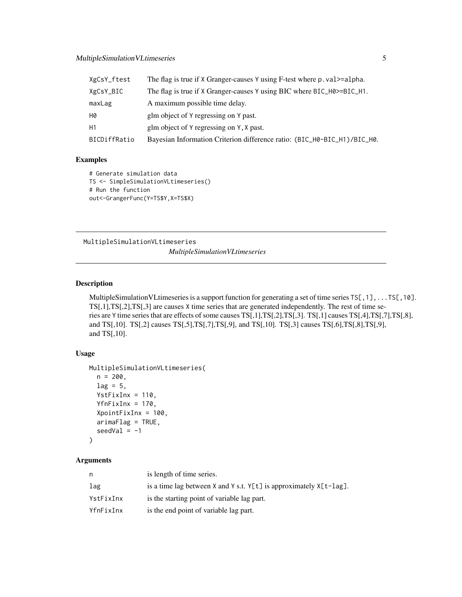#### <span id="page-4-0"></span>MultipleSimulation VLtimeseries 5

| XgCsY_ftest  | The flag is true if X Granger-causes Y using F-test where p. val>=alpha. |
|--------------|--------------------------------------------------------------------------|
| XgCsY_BIC    | The flag is true if X Granger-causes Y using BIC where BIC_H0>=BIC_H1.   |
| maxLag       | A maximum possible time delay.                                           |
| Н0           | glm object of Y regressing on Y past.                                    |
| Η1           | glm object of Y regressing on Y, X past.                                 |
| BICDiffRatio | Bayesian Information Criterion difference ratio: (BIC_H0-BIC_H1)/BIC_H0. |

#### Examples

```
# Generate simulation data
TS <- SimpleSimulationVLtimeseries()
# Run the function
out<-GrangerFunc(Y=TS$Y,X=TS$X)
```
MultipleSimulationVLtimeseries *MultipleSimulationVLtimeseries*

#### Description

MultipleSimulationVLtimeseries is a support function for generating a set of time series TS[,1],...TS[,10]. TS[,1],TS[,2],TS[,3] are causes X time series that are generated independently. The rest of time series are Y time series that are effects of some causes TS[,1],TS[,2],TS[,3]. TS[,1] causes TS[,4],TS[,7],TS[,8], and TS[,10]. TS[,2] causes TS[,5],TS[,7],TS[,9], and TS[,10]. TS[,3] causes TS[,6],TS[,8],TS[,9], and TS[,10].

#### Usage

```
MultipleSimulationVLtimeseries(
  n = 200,lag = 5,
  YstFixInx = 110,
  YfnFixInx = 170,
  XpointFixInx = 100,
  arimaFlag = TRUE,
  seedVal = -1)
```

| n         | is length of time series.                                                   |
|-----------|-----------------------------------------------------------------------------|
| lag       | is a time lag between $X$ and $Y$ s.t. $Y[t]$ is approximately $X[t$ -lag]. |
| YstFixInx | is the starting point of variable lag part.                                 |
| YfnFixInx | is the end point of variable lag part.                                      |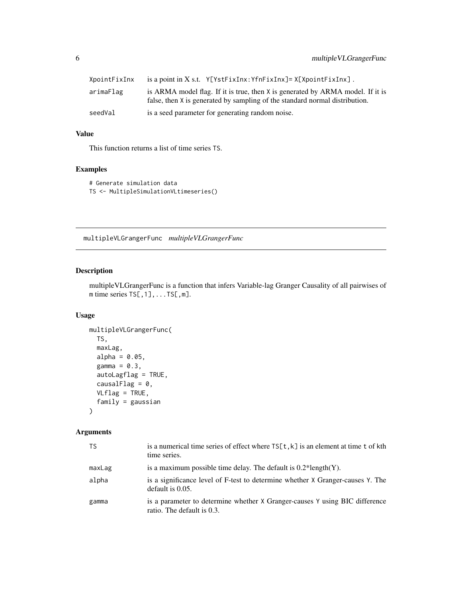<span id="page-5-0"></span>

| XpointFixInx | is a point in X s.t. $Y[YstFixInx:YfnFixInx]=X[XpointFixInx]$ .                                                                                               |
|--------------|---------------------------------------------------------------------------------------------------------------------------------------------------------------|
| arimaFlag    | is ARMA model flag. If it is true, then X is generated by ARMA model. If it is<br>false, then X is generated by sampling of the standard normal distribution. |
| seedVal      | is a seed parameter for generating random noise.                                                                                                              |

This function returns a list of time series TS.

#### Examples

```
# Generate simulation data
TS <- MultipleSimulationVLtimeseries()
```
multipleVLGrangerFunc *multipleVLGrangerFunc*

#### Description

multipleVLGrangerFunc is a function that infers Variable-lag Granger Causality of all pairwises of  $m$  time series  $TS[, 1], \ldots TS[, m].$ 

#### Usage

```
multipleVLGrangerFunc(
 TS,
 maxLag,
 alpha = 0.05,
  gamma = 0.3,
 autoLagflag = TRUE,
 causalFlag = 0,
 VLflag = TRUE,
  family = gaussian
\mathcal{L}
```

| <b>TS</b> | is a numerical time series of effect where $TS[t, k]$ is an element at time t of kth<br>time series.      |
|-----------|-----------------------------------------------------------------------------------------------------------|
| maxLag    | is a maximum possible time delay. The default is $0.2*length(Y)$ .                                        |
| alpha     | is a significance level of F-test to determine whether X Granger-causes Y. The<br>default is $0.05$ .     |
| gamma     | is a parameter to determine whether X Granger-causes Y using BIC difference<br>ratio. The default is 0.3. |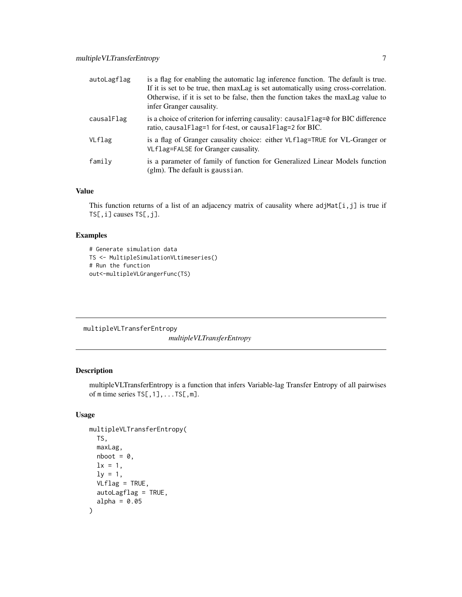<span id="page-6-0"></span>

| autoLagflag | is a flag for enabling the automatic lag inference function. The default is true.<br>If it is set to be true, then maxLag is set automatically using cross-correlation.<br>Otherwise, if it is set to be false, then the function takes the maxLag value to<br>infer Granger causality. |
|-------------|-----------------------------------------------------------------------------------------------------------------------------------------------------------------------------------------------------------------------------------------------------------------------------------------|
| causalFlag  | is a choice of criterion for inferring causality: causal Flag=0 for BIC difference<br>ratio, causalFlag=1 for f-test, or causalFlag=2 for BIC.                                                                                                                                          |
| VLflag      | is a flag of Granger causality choice: either VLflag=TRUE for VL-Granger or<br>VLflag=FALSE for Granger causality.                                                                                                                                                                      |
| family      | is a parameter of family of function for Generalized Linear Models function<br>$(glm)$ . The default is gaussian.                                                                                                                                                                       |

This function returns of a list of an adjacency matrix of causality where  $adjMat[i,j]$  is true if TS[,i] causes TS[,j].

#### Examples

```
# Generate simulation data
TS <- MultipleSimulationVLtimeseries()
# Run the function
out<-multipleVLGrangerFunc(TS)
```
multipleVLTransferEntropy *multipleVLTransferEntropy*

#### Description

multipleVLTransferEntropy is a function that infers Variable-lag Transfer Entropy of all pairwises of  $m$  time series  $TS[, 1], \ldots TS[, m].$ 

#### Usage

```
multipleVLTransferEntropy(
 TS,
 maxLag,
 nboot = 0,
 lx = 1,
 ly = 1,
 VLflag = TRUE,
 autoLagflag = TRUE,
  alpha = 0.05)
```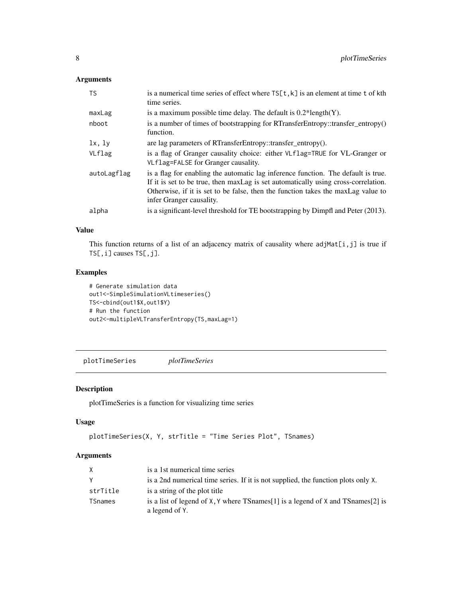#### <span id="page-7-0"></span>Arguments

| <b>TS</b>   | is a numerical time series of effect where $TS[t, k]$ is an element at time t of kth<br>time series.                                                                                                                                                                                    |
|-------------|-----------------------------------------------------------------------------------------------------------------------------------------------------------------------------------------------------------------------------------------------------------------------------------------|
| maxLag      | is a maximum possible time delay. The default is $0.2*length(Y)$ .                                                                                                                                                                                                                      |
| nboot       | is a number of times of bootstrapping for RTransferEntropy::transfer_entropy()<br>function.                                                                                                                                                                                             |
| 1x, 1y      | are lag parameters of RTransferEntropy::transfer_entropy().                                                                                                                                                                                                                             |
| VLflag      | is a flag of Granger causality choice: either VLf1ag=TRUE for VL-Granger or<br>VLflag=FALSE for Granger causality.                                                                                                                                                                      |
| autoLagflag | is a flag for enabling the automatic lag inference function. The default is true.<br>If it is set to be true, then maxLag is set automatically using cross-correlation.<br>Otherwise, if it is set to be false, then the function takes the maxLag value to<br>infer Granger causality. |
| alpha       | is a significant-level threshold for TE bootstrapping by Dimpfl and Peter (2013).                                                                                                                                                                                                       |

#### Value

This function returns of a list of an adjacency matrix of causality where  $adjMat[i,j]$  is true if TS[,i] causes TS[,j].

#### Examples

```
# Generate simulation data
out1<-SimpleSimulationVLtimeseries()
TS<-cbind(out1$X,out1$Y)
# Run the function
out2<-multipleVLTransferEntropy(TS,maxLag=1)
```
plotTimeSeries *plotTimeSeries*

#### Description

plotTimeSeries is a function for visualizing time series

#### Usage

```
plotTimeSeries(X, Y, strTitle = "Time Series Plot", TSnames)
```

| X        | is a 1st numerical time series                                                                        |
|----------|-------------------------------------------------------------------------------------------------------|
| Y        | is a 2nd numerical time series. If it is not supplied, the function plots only X.                     |
| strTitle | is a string of the plot title                                                                         |
| TSnames  | is a list of legend of X, Y where TS names [1] is a legend of X and TS names [2] is<br>a legend of Y. |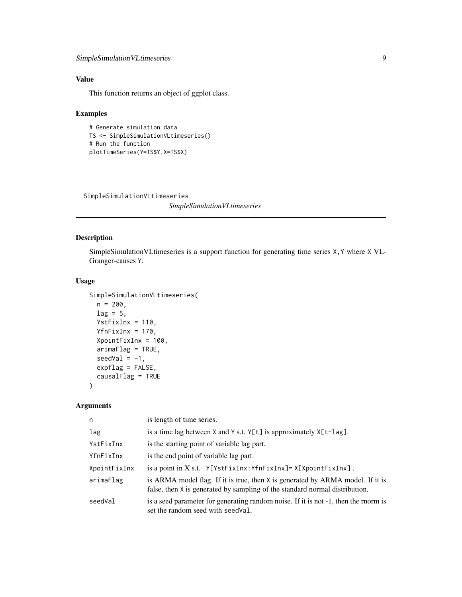<span id="page-8-0"></span>This function returns an object of ggplot class.

#### Examples

```
# Generate simulation data
TS <- SimpleSimulationVLtimeseries()
# Run the function
plotTimeSeries(Y=TS$Y,X=TS$X)
```
SimpleSimulationVLtimeseries

*SimpleSimulationVLtimeseries*

#### Description

SimpleSimulationVLtimeseries is a support function for generating time series X,Y where X VL-Granger-causes Y.

#### Usage

```
SimpleSimulationVLtimeseries(
 n = 200,
  lag = 5,YstFixInx = 110,
 YfnFixInx = 170,
  XpointFixInx = 100,
  arimaFlag = TRUE,
  seedVal = -1,
  expflag = FALSE,
  causalFlag = TRUE
\mathcal{E}
```

| n            | is length of time series.                                                                                                                                     |
|--------------|---------------------------------------------------------------------------------------------------------------------------------------------------------------|
| lag          | is a time lag between $X$ and $Y$ s.t. $Y[t]$ is approximately $X[t$ -lag].                                                                                   |
| YstFixInx    | is the starting point of variable lag part.                                                                                                                   |
| YfnFixInx    | is the end point of variable lag part.                                                                                                                        |
| XpointFixInx | is a point in $X$ s.t. $Y[YstFixInx:YfnFixInx]=X[XpointFixInx]$ .                                                                                             |
| arimaFlag    | is ARMA model flag. If it is true, then X is generated by ARMA model. If it is<br>false, then X is generated by sampling of the standard normal distribution. |
| seedVal      | is a seed parameter for generating random noise. If it is not -1, then the rnorm is<br>set the random seed with seed Val.                                     |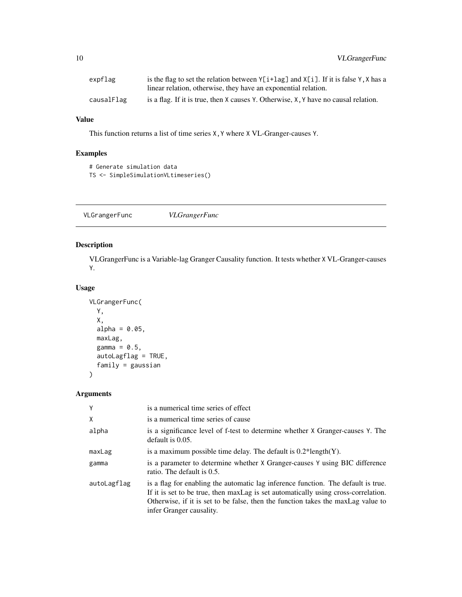<span id="page-9-0"></span>

| expflag    | is the flag to set the relation between $Y[i+lag]$ and $X[i]$ . If it is false Y, X has a     |
|------------|-----------------------------------------------------------------------------------------------|
|            | linear relation, otherwise, they have an exponential relation.                                |
| causalFlag | is a flag. If it is true, then $X$ causes $Y$ . Otherwise, $X$ , $Y$ have no causal relation. |

This function returns a list of time series X,Y where X VL-Granger-causes Y.

#### Examples

```
# Generate simulation data
TS <- SimpleSimulationVLtimeseries()
```
VLGrangerFunc *VLGrangerFunc*

#### Description

VLGrangerFunc is a Variable-lag Granger Causality function. It tests whether X VL-Granger-causes Y.

#### Usage

```
VLGrangerFunc(
 Y,
 X,
 alpha = 0.05,
 maxLag,
 gamma = 0.5,
  autoLagflag = TRUE,
  family = gaussian
\mathcal{L}
```

| Y           | is a numerical time series of effect                                                                                                                                                                                                                                                    |
|-------------|-----------------------------------------------------------------------------------------------------------------------------------------------------------------------------------------------------------------------------------------------------------------------------------------|
| X           | is a numerical time series of cause                                                                                                                                                                                                                                                     |
| alpha       | is a significance level of f-test to determine whether X Granger-causes Y. The<br>default is $0.05$ .                                                                                                                                                                                   |
| maxLag      | is a maximum possible time delay. The default is $0.2*length(Y)$ .                                                                                                                                                                                                                      |
| gamma       | is a parameter to determine whether X Granger-causes Y using BIC difference<br>ratio. The default is 0.5.                                                                                                                                                                               |
| autoLagflag | is a flag for enabling the automatic lag inference function. The default is true.<br>If it is set to be true, then maxLag is set automatically using cross-correlation.<br>Otherwise, if it is set to be false, then the function takes the maxLag value to<br>infer Granger causality. |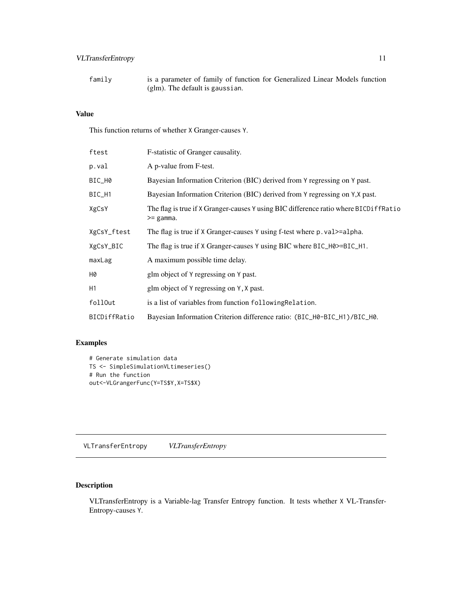#### <span id="page-10-0"></span>VLTransferEntropy 11

family is a parameter of family of function for Generalized Linear Models function (glm). The default is gaussian.

#### Value

This function returns of whether X Granger-causes Y.

| ftest        | F-statistic of Granger causality.                                                                       |
|--------------|---------------------------------------------------------------------------------------------------------|
| p.val        | A p-value from F-test.                                                                                  |
| BIC_H0       | Bayesian Information Criterion (BIC) derived from Y regressing on Y past.                               |
| BIC_H1       | Bayesian Information Criterion (BIC) derived from Y regressing on Y, X past.                            |
| XgCsY        | The flag is true if X Granger-causes Y using BIC difference ratio where BICD if fraction<br>$>=$ gamma. |
| XgCsY_ftest  | The flag is true if X Granger-causes Y using f-test where p. val>=alpha.                                |
| XgCsY_BIC    | The flag is true if X Granger-causes Y using BIC where BIC_H0>=BIC_H1.                                  |
| maxLag       | A maximum possible time delay.                                                                          |
| Н0           | glm object of Y regressing on Y past.                                                                   |
| Н1           | glm object of Y regressing on Y, X past.                                                                |
| follOut      | is a list of variables from function following Relation.                                                |
| BICDiffRatio | Bayesian Information Criterion difference ratio: (BIC_H0-BIC_H1)/BIC_H0.                                |
|              |                                                                                                         |

#### Examples

```
# Generate simulation data
TS <- SimpleSimulationVLtimeseries()
# Run the function
out<-VLGrangerFunc(Y=TS$Y,X=TS$X)
```
VLTransferEntropy *VLTransferEntropy*

#### Description

VLTransferEntropy is a Variable-lag Transfer Entropy function. It tests whether X VL-Transfer-Entropy-causes Y.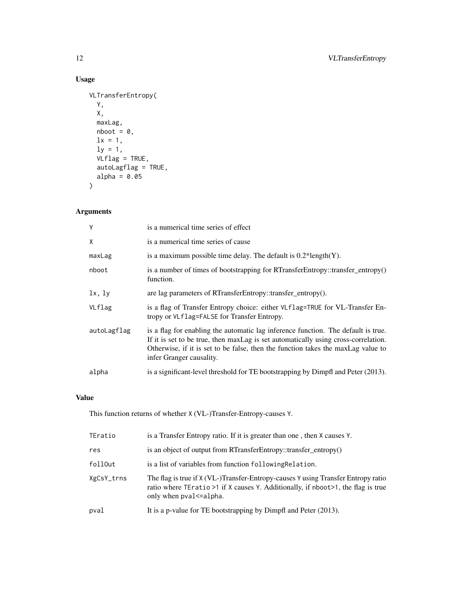#### Usage

```
VLTransferEntropy(
 Y,
 X,
 maxLag,
 nboot = 0,
 lx = 1,ly = 1,
  VLflag = TRUE,
  autoLagflag = TRUE,
 alpha = 0.05\mathcal{L}
```
#### Arguments

| Y           | is a numerical time series of effect                                                                                                                                                                                                                                                    |
|-------------|-----------------------------------------------------------------------------------------------------------------------------------------------------------------------------------------------------------------------------------------------------------------------------------------|
| X           | is a numerical time series of cause                                                                                                                                                                                                                                                     |
| maxLag      | is a maximum possible time delay. The default is $0.2*length(Y)$ .                                                                                                                                                                                                                      |
| nboot       | is a number of times of bootstrapping for RTransferEntropy::transfer_entropy()<br>function.                                                                                                                                                                                             |
| lx, ly      | are lag parameters of RTransferEntropy::transfer_entropy().                                                                                                                                                                                                                             |
| VLflag      | is a flag of Transfer Entropy choice: either VLf1ag=TRUE for VL-Transfer En-<br>tropy or VLflag=FALSE for Transfer Entropy.                                                                                                                                                             |
| autoLagflag | is a flag for enabling the automatic lag inference function. The default is true.<br>If it is set to be true, then maxLag is set automatically using cross-correlation.<br>Otherwise, if it is set to be false, then the function takes the maxLag value to<br>infer Granger causality. |
| alpha       | is a significant-level threshold for TE bootstrapping by Dimpfl and Peter (2013).                                                                                                                                                                                                       |

#### Value

This function returns of whether X (VL-)Transfer-Entropy-causes Y.

| TEratio    | is a Transfer Entropy ratio. If it is greater than one, then X causes Y.                                                                                                                           |
|------------|----------------------------------------------------------------------------------------------------------------------------------------------------------------------------------------------------|
| res        | is an object of output from RTransferEntropy::transfer_entropy()                                                                                                                                   |
| follOut    | is a list of variables from function following Relation.                                                                                                                                           |
| XgCsY_trns | The flag is true if X (VL-)Transfer-Entropy-causes Y using Transfer Entropy ratio<br>ratio where TEratio >1 if X causes Y. Additionally, if nboot >1, the flag is true<br>only when pval <= alpha. |
| pval       | It is a p-value for TE bootstrapping by Dimpfl and Peter (2013).                                                                                                                                   |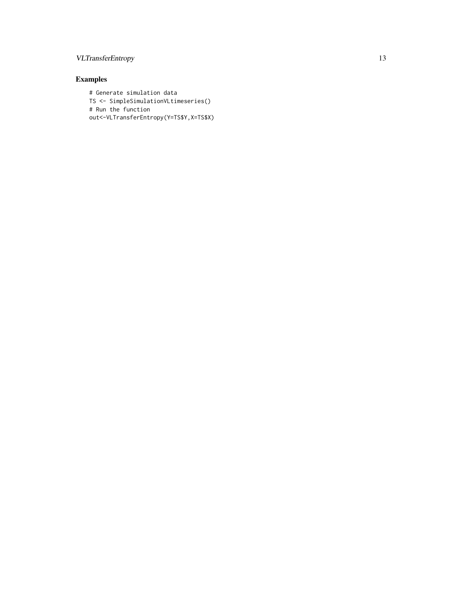#### VLTransferEntropy 13

### Examples

# Generate simulation data TS <- SimpleSimulationVLtimeseries() # Run the function out<-VLTransferEntropy(Y=TS\$Y,X=TS\$X)